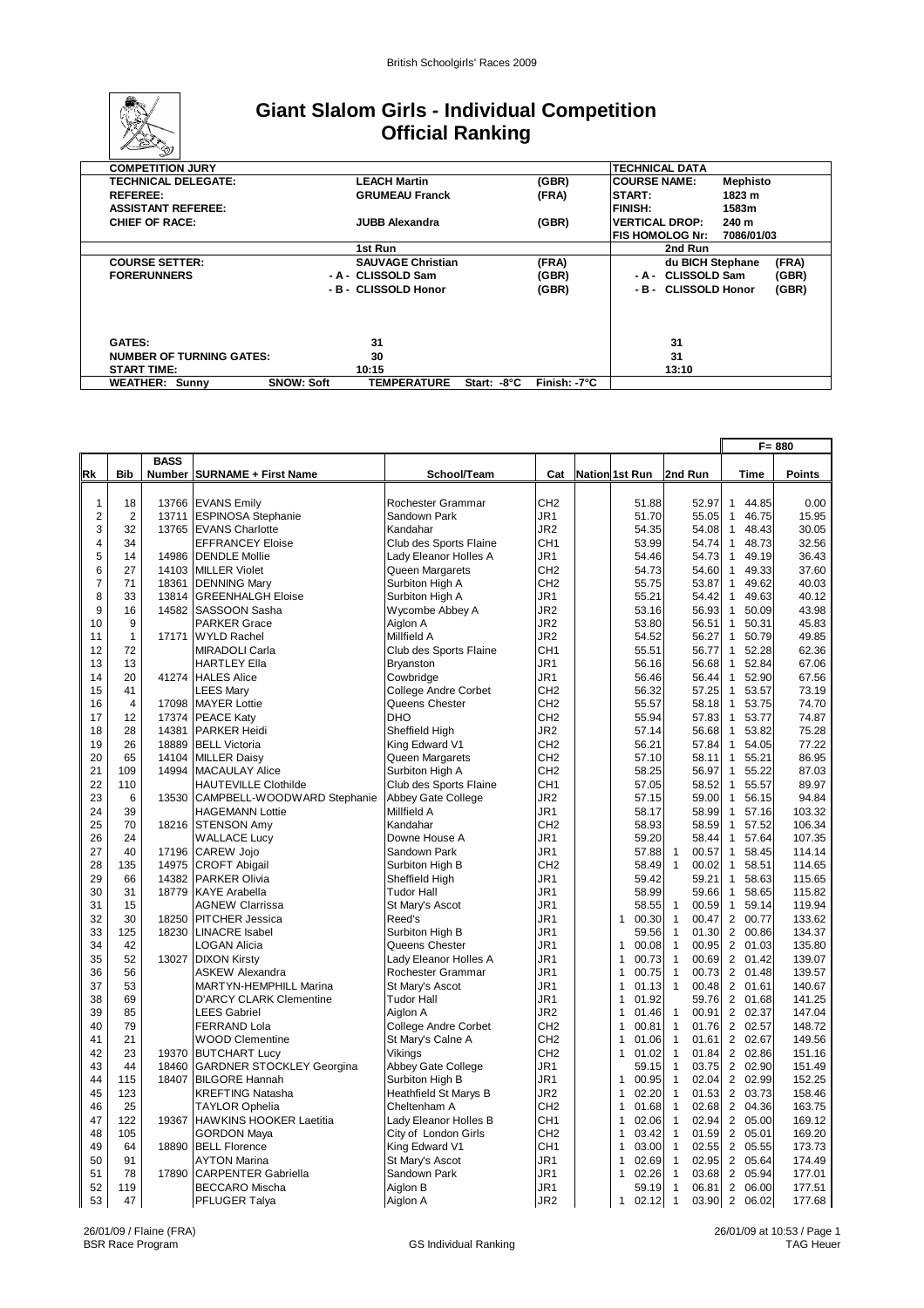

## **Giant Slalom Girls - Individual Competition Official Ranking**

| ∽                               |                   |                          |             |              |                       |            |       |
|---------------------------------|-------------------|--------------------------|-------------|--------------|-----------------------|------------|-------|
| <b>COMPETITION JURY</b>         |                   |                          |             |              | <b>TECHNICAL DATA</b> |            |       |
| <b>TECHNICAL DELEGATE:</b>      |                   | <b>LEACH Martin</b>      |             | (GBR)        | <b>COURSE NAME:</b>   | Mephisto   |       |
| <b>REFEREE:</b>                 |                   | <b>GRUMEAU Franck</b>    |             | (FRA)        | START:                | 1823 m     |       |
| <b>ASSISTANT REFEREE:</b>       |                   |                          |             |              | <b>FINISH:</b>        | 1583m      |       |
| <b>CHIEF OF RACE:</b>           |                   | JUBB Alexandra           |             | (GBR)        | <b>VERTICAL DROP:</b> | 240 m      |       |
|                                 |                   |                          |             |              | IFIS HOMOLOG Nr:      | 7086/01/03 |       |
|                                 |                   | 1st Run                  |             |              | 2nd Run               |            |       |
| <b>COURSE SETTER:</b>           |                   | <b>SAUVAGE Christian</b> |             | (FRA)        | du BICH Stephane      |            | (FRA) |
| <b>FORERUNNERS</b>              |                   | - A - CLISSOLD Sam       |             | (GBR)        | - A - CLISSOLD Sam    |            | (GBR) |
|                                 |                   | - B - CLISSOLD Honor     |             | (GBR)        | - B - CLISSOLD Honor  |            | (GBR) |
|                                 |                   |                          |             |              |                       |            |       |
|                                 |                   |                          |             |              |                       |            |       |
|                                 |                   |                          |             |              |                       |            |       |
| <b>GATES:</b>                   |                   | 31                       |             |              | 31                    |            |       |
| <b>NUMBER OF TURNING GATES:</b> |                   | 30                       |             |              | 31                    |            |       |
| <b>START TIME:</b>              |                   | 10:15                    |             |              | 13:10                 |            |       |
| <b>WEATHER: Sunny</b>           | <b>SNOW: Soft</b> | <b>TEMPERATURE</b>       | Start: -8°C | Finish: -7°C |                       |            |       |

|                |                   |             |                                  |                             |                 |                       |                         |                         | $F = 880$ |
|----------------|-------------------|-------------|----------------------------------|-----------------------------|-----------------|-----------------------|-------------------------|-------------------------|-----------|
|                |                   | <b>BASS</b> |                                  |                             |                 |                       |                         |                         |           |
| Rk             | <b>Bib</b>        |             | Number   SURNAME + First Name    | School/Team                 | Cat             | <b>Nation 1st Run</b> | 2nd Run                 | Time                    | Points    |
|                |                   |             |                                  |                             |                 |                       |                         |                         |           |
| $\mathbf{1}$   | 18                |             | 13766 EVANS Emily                | Rochester Grammar           | CH <sub>2</sub> | 51.88                 | 52.97                   | 44.85<br>$\mathbf{1}$   | 0.00      |
| $\overline{2}$ | $\overline{2}$    | 13711       | <b>ESPINOSA Stephanie</b>        | Sandown Park                | JR1             | 51.70                 | 55.05                   | $\mathbf{1}$<br>46.75   | 15.95     |
| 3              | 32                | 13765       | <b>EVANS Charlotte</b>           | Kandahar                    | JR <sub>2</sub> | 54.35                 | 54.08                   | $\mathbf{1}$<br>48.43   | 30.05     |
| $\overline{4}$ | 34                |             | <b>EFFRANCEY Eloise</b>          | Club des Sports Flaine      | CH <sub>1</sub> | 53.99                 | 54.74                   | 48.73<br>$\mathbf{1}$   | 32.56     |
| 5              | 14                | 14986       | <b>DENDLE Mollie</b>             | Lady Eleanor Holles A       | JR1             | 54.46                 | 54.73                   | $\mathbf{1}$<br>49.19   | 36.43     |
| 6              | 27                |             | 14103 MILLER Violet              | Queen Margarets             | CH <sub>2</sub> | 54.73                 | 54.60                   | 49.33<br>$\mathbf{1}$   | 37.60     |
| $\overline{7}$ | 71                | 18361       | <b>DENNING Mary</b>              | Surbiton High A             | CH <sub>2</sub> | 55.75                 | 53.87                   | 49.62<br>$\mathbf{1}$   | 40.03     |
| 8              | 33                | 13814       | <b>GREENHALGH Eloise</b>         | Surbiton High A             | JR1             | 55.21                 | 54.42                   | 49.63<br>$\mathbf{1}$   | 40.12     |
| 9              | 16                |             | 14582 SASSOON Sasha              | Wycombe Abbey A             | JR2             | 53.16                 | 56.93                   | $\mathbf{1}$<br>50.09   | 43.98     |
| 10             | 9<br>$\mathbf{1}$ |             | <b>PARKER Grace</b>              | Aiglon A                    | JR <sub>2</sub> | 53.80                 | 56.51                   | 50.31<br>$\mathbf{1}$   | 45.83     |
| 11             |                   | 17171       | <b>WYLD Rachel</b>               | Millfield A                 | JR <sub>2</sub> | 54.52                 | 56.27                   | $\mathbf{1}$<br>50.79   | 49.85     |
| 12             | 72                |             | <b>MIRADOLI Carla</b>            | Club des Sports Flaine      | CH <sub>1</sub> | 55.51                 | 56.77                   | $\mathbf{1}$<br>52.28   | 62.36     |
| 13             | 13                |             | <b>HARTLEY Ella</b>              | Bryanston                   | JR1             | 56.16                 | 56.68                   | $\mathbf{1}$<br>52.84   | 67.06     |
| 14             | 20                |             | 41274 HALES Alice                | Cowbridge                   | JR1             | 56.46                 | 56.44                   | $\mathbf{1}$<br>52.90   | 67.56     |
| 15             | 41                |             | <b>LEES Mary</b>                 | <b>College Andre Corbet</b> | CH <sub>2</sub> | 56.32                 | 57.25                   | $\mathbf{1}$<br>53.57   | 73.19     |
| 16             | $\overline{4}$    | 17098       | <b>MAYER Lottie</b>              | Queens Chester              | CH <sub>2</sub> | 55.57                 | 58.18                   | 53.75<br>$\mathbf{1}$   | 74.70     |
| 17             | 12                |             | 17374 PEACE Katy                 | <b>DHO</b>                  | CH <sub>2</sub> | 55.94                 | 57.83                   | $\mathbf{1}$<br>53.77   | 74.87     |
| 18             | 28                |             | 14381 PARKER Heidi               | Sheffield High              | JR2             | 57.14                 | 56.68                   | $\mathbf{1}$<br>53.82   | 75.28     |
| 19             | 26                |             | 18889 BELL Victoria              | King Edward V1              | CH <sub>2</sub> | 56.21                 | 57.84                   | $\mathbf{1}$<br>54.05   | 77.22     |
| 20             | 65                |             | 14104 MILLER Daisy               | Queen Margarets             | CH <sub>2</sub> | 57.10                 | 58.11                   | 55.21<br>$\mathbf{1}$   | 86.95     |
| 21             | 109               | 14994       | <b>MACAULAY Alice</b>            | Surbiton High A             | CH <sub>2</sub> | 58.25                 | 56.97                   | 55.22<br>$\mathbf{1}$   | 87.03     |
| 22             | 110               |             | <b>HAUTEVILLE Clothilde</b>      | Club des Sports Flaine      | CH <sub>1</sub> | 57.05                 | 58.52                   | $\mathbf{1}$<br>55.57   | 89.97     |
| 23             | 6                 | 13530       | CAMPBELL-WOODWARD Stephanie      | Abbey Gate College          | JR <sub>2</sub> | 57.15                 | 59.00                   | $\mathbf{1}$<br>56.15   | 94.84     |
| 24             | 39                |             | <b>HAGEMANN Lottie</b>           | Millfield A                 | JR1             | 58.17                 | 58.99                   | $\mathbf{1}$<br>57.16   | 103.32    |
| 25             | 70                |             | 18216 STENSON Amy                | Kandahar                    | CH <sub>2</sub> | 58.93                 | 58.59                   | $\mathbf{1}$<br>57.52   | 106.34    |
| 26             | 24                |             | <b>WALLACE Lucy</b>              | Downe House A               | JR1             | 59.20                 | 58.44                   | 57.64<br>$\mathbf{1}$   | 107.35    |
| 27             | 40                |             | 17196 CAREW Jojo                 | Sandown Park                | JR1             | 57.88                 | $\mathbf{1}$<br>00.57   | $\mathbf{1}$<br>58.45   | 114.14    |
| 28             | 135               | 14975       | <b>CROFT Abigail</b>             | Surbiton High B             | CH <sub>2</sub> | 58.49                 | $\mathbf{1}$<br>00.02   | $\mathbf{1}$<br>58.51   | 114.65    |
| 29             | 66                |             | 14382 PARKER Olivia              | Sheffield High              | JR1             | 59.42                 | 59.21                   | 58.63<br>$\overline{1}$ | 115.65    |
| 30             | 31                |             | 18779 KAYE Arabella              | <b>Tudor Hall</b>           | JR1             | 58.99                 | 59.66                   | $\mathbf{1}$<br>58.65   | 115.82    |
| 31             | 15                |             | <b>AGNEW Clarrissa</b>           | St Mary's Ascot             | JR1             | 58.55                 | 00.59<br>$\mathbf{1}$   | $\mathbf{1}$<br>59.14   | 119.94    |
| 32             | 30                | 18250       | <b>PITCHER Jessica</b>           | Reed's                      | JR1             | $\mathbf{1}$<br>00.30 | $\mathbf{1}$<br>00.47   | $\overline{2}$<br>00.77 | 133.62    |
| 33             | 125               |             | 18230 LINACRE Isabel             | Surbiton High B             | JR <sub>1</sub> | 59.56                 | $\mathbf{1}$<br>01.30   | 2<br>00.86              | 134.37    |
| 34             | 42                |             | <b>LOGAN Alicia</b>              | Queens Chester              | JR1             | $\mathbf{1}$<br>00.08 | $\mathbf{1}$<br>00.95   | 2 01.03                 | 135.80    |
| 35             | 52                | 13027       | <b>DIXON Kirsty</b>              | Lady Eleanor Holles A       | JR1             | $\mathbf{1}$<br>00.73 | $\mathbf{1}$<br>00.69   | 2 01.42                 | 139.07    |
| 36             | 56                |             | <b>ASKEW Alexandra</b>           | Rochester Grammar           | JR1             | $\mathbf{1}$<br>00.75 | $\mathbf{1}$<br>00.73   | 2 01.48                 | 139.57    |
| 37             | 53                |             | MARTYN-HEMPHILL Marina           | St Mary's Ascot             | JR <sub>1</sub> | 01.13<br>$\mathbf{1}$ | $\mathbf{1}$<br>00.48   | 2 01.61                 | 140.67    |
| 38             | 69                |             | <b>D'ARCY CLARK Clementine</b>   | <b>Tudor Hall</b>           | JR1             | $\mathbf{1}$<br>01.92 | 59.76                   | 2 01.68                 | 141.25    |
| 39             | 85                |             | <b>LEES Gabriel</b>              | Aiglon A                    | JR2             | 01.46<br>1            | $\mathbf{1}$<br>00.91   | 2 02.37                 | 147.04    |
| 40             | 79                |             | <b>FERRAND Lola</b>              | <b>College Andre Corbet</b> | CH <sub>2</sub> | $\mathbf{1}$<br>00.81 | $\mathbf{1}$<br>01.76   | 2 02.57                 | 148.72    |
| 41             | 21                |             | <b>WOOD Clementine</b>           | St Mary's Calne A           | CH <sub>2</sub> | $\mathbf{1}$<br>01.06 | $\mathbf{1}$<br>01.61   | 2 02.67                 | 149.56    |
| 42             | 23                |             | 19370 BUTCHART Lucy              | Vikings                     | CH <sub>2</sub> | 01.02<br>$\mathbf{1}$ | $\mathbf{1}$<br>01.84   | 2 02.86                 | 151.16    |
| 43             | 44                | 18460       | <b>GARDNER STOCKLEY Georgina</b> | Abbey Gate College          | JR1             | 59.15                 | $\mathbf{1}$<br>03.75   | 2 02.90                 | 151.49    |
| 44             | 115               |             | 18407 BILGORE Hannah             | Surbiton High B             | JR1             | $\mathbf{1}$<br>00.95 | $\mathbf{1}$<br>02.04   | 2 02.99                 | 152.25    |
| 45             | 123               |             | <b>KREFTING Natasha</b>          | Heathfield St Marys B       | JR <sub>2</sub> | 02.20<br>$\mathbf{1}$ | $\mathbf{1}$<br>01.53   | $\overline{2}$<br>03.73 | 158.46    |
| 46             | 25                |             | <b>TAYLOR Ophelia</b>            | Cheltenham A                | CH <sub>2</sub> | $\mathbf{1}$<br>01.68 | $\mathbf{1}$<br>02.68   | $\overline{2}$<br>04.36 | 163.75    |
| 47             | 122               | 19367       | HAWKINS HOOKER Laetitia          | Lady Eleanor Holles B       | CH <sub>1</sub> | $\mathbf{1}$<br>02.06 | $\mathbf{1}$<br>02.94   | 2 05.00                 | 169.12    |
| 48             | 105               |             | <b>GORDON Maya</b>               | City of London Girls        | CH <sub>2</sub> | 03.42<br>$\mathbf{1}$ | $\mathbf{1}$<br>01.59   | $\overline{2}$<br>05.01 | 169.20    |
| 49             | 64                | 18890       | <b>BELL Florence</b>             | King Edward V1              | CH <sub>1</sub> | $\mathbf{1}$<br>03.00 | $\mathbf{1}$<br>02.55   | 2<br>05.55              | 173.73    |
| 50             | 91                |             | <b>AYTON Marina</b>              | St Mary's Ascot             | JR1             | 02.69<br>1            | $\mathbf{1}$<br>02.95   | 2 05.64                 | 174.49    |
| 51             | 78                | 17890       | <b>CARPENTER Gabriella</b>       | Sandown Park                | JR1             | 1<br>02.26            | $\mathbf{1}$<br>03.68   | 2<br>05.94              | 177.01    |
| 52             | 119               |             | <b>BECCARO Mischa</b>            | Aiglon B                    | JR <sub>1</sub> | 59.19                 | $\mathbf{1}$<br>06.81   | $\overline{2}$<br>06.00 | 177.51    |
| 53             | 47                |             | PFLUGER Talya                    | Aiglon A                    | JR <sub>2</sub> | $\mathbf{1}$<br>02.12 | $\overline{1}$<br>03.90 | 2<br>06.02              | 177.68    |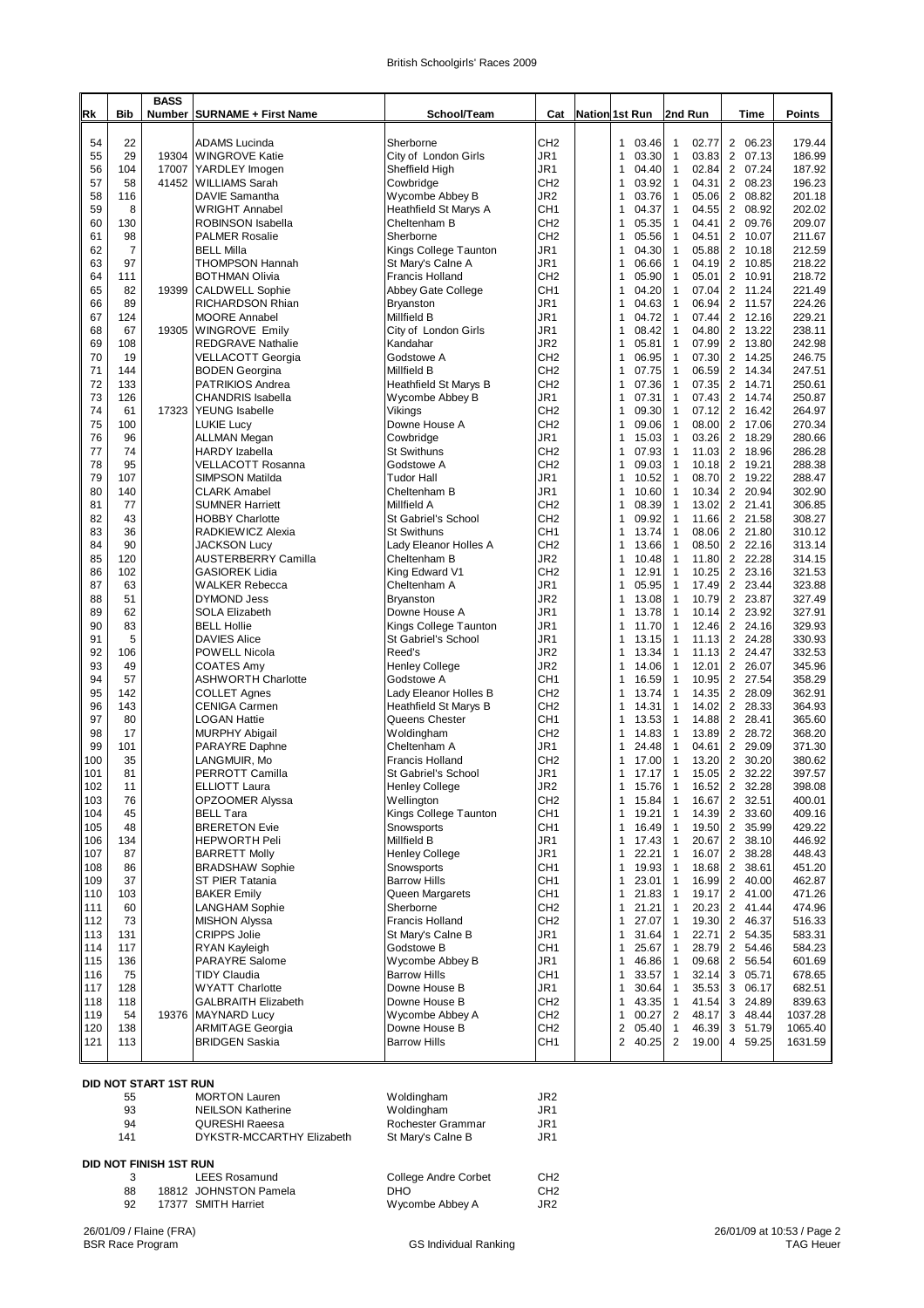| British Schoolgirls' Races 2009 |  |
|---------------------------------|--|
|---------------------------------|--|

|            |                      | <b>BASS</b> |                                                   |                                           |                                    |                                                |                                                  |                                                    |                    |
|------------|----------------------|-------------|---------------------------------------------------|-------------------------------------------|------------------------------------|------------------------------------------------|--------------------------------------------------|----------------------------------------------------|--------------------|
| Rk         | Bib                  |             | Number SURNAME + First Name                       | School/Team                               | Cat                                | Nation 1st Run                                 | 2nd Run                                          | Time                                               | Points             |
| 54         | 22                   |             | <b>ADAMS Lucinda</b>                              | Sherborne                                 | CH <sub>2</sub>                    | 03.46<br>1                                     | $\mathbf{1}$<br>02.77                            | 2 06.23                                            | 179.44             |
| 55         | 29                   | 19304       | <b>WINGROVE Katie</b>                             | City of London Girls                      | JR1                                | $\mathbf{1}$<br>03.30                          | 03.83<br>1                                       | 2 07.13                                            | 186.99             |
| 56<br>57   | 104<br>58            | 41452       | 17007 YARDLEY Imogen<br>WILLIAMS Sarah            | Sheffield High<br>Cowbridge               | JR1<br>CH <sub>2</sub>             | 1<br>04.40<br>03.92<br>$\mathbf{1}$            | $\mathbf{1}$<br>02.84<br>$\mathbf{1}$<br>04.31   | 2 07.24<br>2 08.23                                 | 187.92<br>196.23   |
| 58         | 116                  |             | DAVIE Samantha                                    | Wycombe Abbey B                           | JR2                                | 1<br>03.76                                     | 05.06<br>$\mathbf{1}$                            | 2 08.82                                            | 201.18             |
| 59         | 8                    |             | <b>WRIGHT Annabel</b>                             | Heathfield St Marys A                     | CH <sub>1</sub>                    | 04.37<br>1                                     | $\mathbf{1}$<br>04.55                            | $\overline{2}$<br>08.92                            | 202.02             |
| 60         | 130                  |             | <b>ROBINSON Isabella</b>                          | Cheltenham B                              | CH <sub>2</sub>                    | $\mathbf{1}$<br>05.35                          | 04.41<br>1                                       | $\overline{2}$<br>09.76                            | 209.07             |
| 61<br>62   | 98<br>$\overline{7}$ |             | <b>PALMER Rosalie</b><br><b>BELL Milla</b>        | Sherborne<br>Kings College Taunton        | CH <sub>2</sub><br>JR1             | 05.56<br>$\mathbf{1}$<br>1<br>04.30            | $\mathbf{1}$<br>04.51<br>1<br>05.88              | $\overline{2}$<br>10.07<br>$\overline{2}$<br>10.18 | 211.67<br>212.59   |
| 63         | 97                   |             | <b>THOMPSON Hannah</b>                            | St Mary's Calne A                         | JR1                                | 1<br>06.66                                     | $\mathbf{1}$<br>04.19                            | 2 10.85                                            | 218.22             |
| 64         | 111                  |             | <b>BOTHMAN Olivia</b>                             | Francis Holland                           | CH <sub>2</sub>                    | 1<br>05.90                                     | $\mathbf{1}$<br>05.01                            | 2 10.91                                            | 218.72             |
| 65         | 82                   | 19399       | <b>CALDWELL Sophie</b>                            | Abbey Gate College                        | CH <sub>1</sub>                    | $\mathbf{1}$<br>04.20                          | $\mathbf{1}$<br>07.04                            | 2 11.24                                            | 221.49             |
| 66<br>67   | 89<br>124            |             | RICHARDSON Rhian<br><b>MOORE Annabel</b>          | Bryanston<br>Millfield B                  | JR1<br>JR1                         | 04.63<br>1<br>1<br>04.72                       | $\mathbf{1}$<br>06.94<br>$\mathbf{1}$<br>07.44   | 2 11.57<br>2 12.16                                 | 224.26<br>229.21   |
| 68         | 67                   | 19305       | <b>WINGROVE Emily</b>                             | City of London Girls                      | JR1                                | 08.42<br>1                                     | $\mathbf{1}$<br>04.80                            | 2<br>13.22                                         | 238.11             |
| 69         | 108                  |             | <b>REDGRAVE Nathalie</b>                          | Kandahar                                  | JR <sub>2</sub>                    | 1<br>05.81                                     | 1<br>07.99                                       | 2 13.80                                            | 242.98             |
| 70         | 19                   |             | <b>VELLACOTT Georgia</b>                          | Godstowe A                                | CH <sub>2</sub>                    | $\mathbf{1}$<br>06.95                          | $\mathbf{1}$<br>07.30                            | $\overline{2}$<br>14.25                            | 246.75             |
| 71         | 144                  |             | <b>BODEN</b> Georgina                             | Millfield B                               | CH <sub>2</sub>                    | 1<br>07.75<br>$\mathbf{1}$                     | 1<br>06.59<br>$\mathbf{1}$                       | 2 14.34<br>2 14.71                                 | 247.51             |
| 72<br>73   | 133<br>126           |             | PATRIKIOS Andrea<br><b>CHANDRIS Isabella</b>      | Heathfield St Marys B<br>Wycombe Abbey B  | CH <sub>2</sub><br>JR1             | 07.36<br>07.31<br>1                            | 07.35<br>$\mathbf{1}$<br>07.43                   | $\overline{2}$<br>14.74                            | 250.61<br>250.87   |
| 74         | 61                   | 17323       | <b>YEUNG</b> Isabelle                             | Vikings                                   | CH <sub>2</sub>                    | $\mathbf{1}$<br>09.30                          | $\mathbf{1}$<br>07.12                            | 2 16.42                                            | 264.97             |
| 75         | 100                  |             | <b>LUKIE Lucy</b>                                 | Downe House A                             | CH <sub>2</sub>                    | 09.06<br>1                                     | $\mathbf{1}$<br>08.00                            | $\overline{2}$<br>17.06                            | 270.34             |
| 76         | 96                   |             | <b>ALLMAN Megan</b>                               | Cowbridge                                 | JR1                                | 15.03<br>1                                     | 03.26<br>$\mathbf{1}$                            | 2 18.29                                            | 280.66             |
| 77<br>78   | 74<br>95             |             | <b>HARDY</b> Izabella<br><b>VELLACOTT Rosanna</b> | <b>St Swithuns</b><br>Godstowe A          | CH <sub>2</sub><br>CH <sub>2</sub> | 07.93<br>1<br>09.03<br>$\mathbf{1}$            | $\mathbf{1}$<br>11.03<br>10.18<br>1              | $\overline{2}$<br>18.96<br>$\overline{2}$<br>19.21 | 286.28<br>288.38   |
| 79         | 107                  |             | SIMPSON Matilda                                   | <b>Tudor Hall</b>                         | JR1                                | $\mathbf{1}$<br>10.52                          | $\mathbf{1}$<br>08.70                            | $\overline{2}$<br>19.22                            | 288.47             |
| 80         | 140                  |             | <b>CLARK Amabel</b>                               | Cheltenham B                              | JR1                                | 1<br>10.60                                     | 1<br>10.34                                       | 2 20.94                                            | 302.90             |
| 81         | 77                   |             | <b>SUMNER Harriett</b>                            | Millfield A                               | CH <sub>2</sub>                    | $\mathbf{1}$<br>08.39                          | 13.02<br>1                                       | 2 21.41                                            | 306.85             |
| 82<br>83   | 43<br>36             |             | <b>HOBBY Charlotte</b><br>RADKIEWICZ Alexia       | St Gabriel's School<br><b>St Swithuns</b> | CH <sub>2</sub><br>CH <sub>1</sub> | 09.92<br>$\mathbf{1}$<br>$\mathbf{1}$<br>13.74 | $\mathbf{1}$<br>11.66<br>08.06<br>$\mathbf{1}$   | 2 21.58<br>2 21.80                                 | 308.27<br>310.12   |
| 84         | 90                   |             | <b>JACKSON Lucy</b>                               | Lady Eleanor Holles A                     | CH <sub>2</sub>                    | 13.66<br>1                                     | 08.50<br>1                                       | 2 22.16                                            | 313.14             |
| 85         | 120                  |             | <b>AUSTERBERRY Camilla</b>                        | Cheltenham B                              | JR2                                | $\mathbf{1}$<br>10.48                          | 11.80<br>$\mathbf{1}$                            | 2 22.28                                            | 314.15             |
| 86         | 102                  |             | <b>GASIOREK Lidia</b>                             | King Edward V1                            | CH <sub>2</sub>                    | 12.91<br>$\mathbf{1}$                          | 1<br>10.25                                       | $\overline{2}$<br>23.16                            | 321.53             |
| 87         | 63                   |             | <b>WALKER Rebecca</b>                             | Cheltenham A                              | JR1                                | 1<br>05.95                                     | 1<br>17.49                                       | 2 23.44                                            | 323.88             |
| 88<br>89   | 51<br>62             |             | <b>DYMOND Jess</b><br><b>SOLA Elizabeth</b>       | Bryanston<br>Downe House A                | JR2<br>JR1                         | 1<br>13.08<br>1<br>13.78                       | 1<br>10.79<br>1<br>10.14                         | 2 23.87<br>2 23.92                                 | 327.49<br>327.91   |
| 90         | 83                   |             | <b>BELL Hollie</b>                                | Kings College Taunton                     | JR1                                | $\mathbf{1}$<br>11.70                          | 12.46<br>1                                       | 2 24.16                                            | 329.93             |
| 91         | 5                    |             | <b>DAVIES Alice</b>                               | St Gabriel's School                       | JR1                                | 13.15<br>1                                     | 11.13<br>1                                       | 2 24.28                                            | 330.93             |
| 92         | 106                  |             | POWELL Nicola                                     | Reed's                                    | JR2                                | $\mathbf{1}$<br>13.34                          | 1<br>11.13                                       | 2 24.47                                            | 332.53             |
| 93<br>94   | 49<br>57             |             | <b>COATES Amy</b><br><b>ASHWORTH Charlotte</b>    | Henley College<br>Godstowe A              | JR <sub>2</sub><br>CH <sub>1</sub> | 14.06<br>1<br>$\mathbf{1}$<br>16.59            | $\mathbf{1}$<br>12.01<br>10.95<br>1              | $\overline{2}$<br>26.07<br>2 27.54                 | 345.96<br>358.29   |
| 95         | 142                  |             | <b>COLLET Agnes</b>                               | Lady Eleanor Holles B                     | CH <sub>2</sub>                    | $\mathbf{1}$<br>13.74                          | $\mathbf{1}$<br>14.35                            | $\overline{2}$<br>28.09                            | 362.91             |
| 96         | 143                  |             | <b>CENIGA Carmen</b>                              | Heathfield St Marys B                     | CH <sub>2</sub>                    | $\mathbf{1}$<br>14.31                          | 14.02<br>1                                       | 2 28.33                                            | 364.93             |
| 97         | 80                   |             | <b>LOGAN Hattie</b>                               | Queens Chester                            | CH <sub>1</sub>                    | $\mathbf{1}$<br>13.53                          | 1<br>14.88                                       | $\overline{2}$<br>28.41                            | 365.60             |
| 98<br>99   | 17<br>101            |             | <b>MURPHY Abigail</b><br>PARAYRE Daphne           | Woldingham<br>Cheltenham A                | CH <sub>2</sub><br>JR1             | 14.83<br>1<br>$\mathbf{1}$<br>24.48            | 1<br>13.89<br>1<br>04.61                         | 2 28.72<br>2 29.09                                 | 368.20<br>371.30   |
| 100        | 35                   |             | LANGMUIR, Mo                                      | Francis Holland                           | CH <sub>2</sub>                    | 17.00<br>1                                     | 1<br>13.20                                       | 2 30.20                                            | 380.62             |
| 101        | 81                   |             | PERROTT Camilla                                   | St Gabriel's School                       | JR1                                | 17.17<br>1                                     | 15.05<br>1                                       | 2 32.22                                            | 397.57             |
| 102        | 11                   |             | ELLIOTT Laura                                     | Henley College                            | JR <sub>2</sub>                    | 15.76                                          | 16.52<br>1                                       | $\overline{c}$<br>32.28                            | 398.08             |
| 103<br>104 | 76<br>45             |             | OPZOOMER Alyssa<br><b>BELL Tara</b>               | Wellington<br>Kings College Taunton       | CH <sub>2</sub><br>CH <sub>1</sub> | 1<br>15.84<br>1<br>19.21                       | 16.67<br>1<br>14.39<br>1                         | 2 32.51<br>2 33.60                                 | 400.01<br>409.16   |
| 105        | 48                   |             | <b>BRERETON Evie</b>                              | Snowsports                                | CH <sub>1</sub>                    | 16.49<br>1                                     | 19.50<br>1                                       | 2 35.99                                            | 429.22             |
| 106        | 134                  |             | <b>HEPWORTH Peli</b>                              | Millfield B                               | JR1                                | 1<br>17.43                                     | $\mathbf{1}$<br>20.67                            | 2 38.10                                            | 446.92             |
| 107        | 87                   |             | <b>BARRETT Molly</b>                              | <b>Henley College</b>                     | JR1                                | 1<br>22.21                                     | 16.07<br>1                                       | $\overline{2}$<br>38.28                            | 448.43             |
| 108        | 86<br>37             |             | <b>BRADSHAW Sophie</b>                            | Snowsports                                | CH <sub>1</sub>                    | 1<br>19.93                                     | 18.68<br>1<br>16.99<br>1                         | 2 38.61                                            | 451.20<br>462.87   |
| 109<br>110 | 103                  |             | ST PIER Tatania<br><b>BAKER Emily</b>             | <b>Barrow Hills</b><br>Queen Margarets    | CH <sub>1</sub><br>CH <sub>1</sub> | 23.01<br>1<br>1<br>21.83                       | 19.17<br>1                                       | 2 40.00<br>2 41.00                                 | 471.26             |
| 111        | 60                   |             | <b>LANGHAM Sophie</b>                             | Sherborne                                 | CH <sub>2</sub>                    | 21.21<br>1                                     | 20.23<br>1                                       | $\overline{2}$<br>41.44                            | 474.96             |
| 112        | 73                   |             | <b>MISHON Alyssa</b>                              | <b>Francis Holland</b>                    | CH <sub>2</sub>                    | 1<br>27.07                                     | 19.30<br>1                                       | 2 46.37                                            | 516.33             |
| 113        | 131                  |             | <b>CRIPPS Jolie</b>                               | St Mary's Calne B                         | JR1                                | 1<br>31.64                                     | 1<br>22.71                                       | 2 54.35                                            | 583.31             |
| 114<br>115 | 117<br>136           |             | RYAN Kayleigh<br>PARAYRE Salome                   | Godstowe B<br>Wycombe Abbey B             | CH <sub>1</sub><br>JR1             | 1<br>25.67<br>1<br>46.86                       | 28.79<br>1<br>$\mathbf{1}$<br>09.68              | 2 54.46<br>2 56.54                                 | 584.23<br>601.69   |
| 116        | 75                   |             | <b>TIDY Claudia</b>                               | <b>Barrow Hills</b>                       | CH1                                | 33.57<br>1                                     | 1<br>32.14                                       | 05.71<br>3                                         | 678.65             |
| 117        | 128                  |             | <b>WYATT Charlotte</b>                            | Downe House B                             | JR1                                | 1<br>30.64                                     | 35.53<br>$\mathbf{1}$                            | 3 06.17                                            | 682.51             |
| 118        | 118                  |             | <b>GALBRAITH Elizabeth</b>                        | Downe House B                             | CH <sub>2</sub>                    | 43.35<br>1                                     | 41.54<br>1                                       | 3<br>24.89                                         | 839.63             |
| 119<br>120 | 54<br>138            | 19376       | <b>MAYNARD Lucy</b><br><b>ARMITAGE Georgia</b>    | Wycombe Abbey A<br>Downe House B          | CH <sub>2</sub><br>CH <sub>2</sub> | 1<br>00.27<br>$\overline{\mathbf{c}}$<br>05.40 | $\overline{2}$<br>48.17<br>$\mathbf{1}$<br>46.39 | 3 48.44<br>3<br>51.79                              | 1037.28<br>1065.40 |
| 121        | 113                  |             | <b>BRIDGEN Saskia</b>                             | <b>Barrow Hills</b>                       | CH1                                | $\overline{2}$<br>40.25                        | $\overline{2}$<br>19.00                          | 4 59.25                                            | 1631.59            |
|            |                      |             |                                                   |                                           |                                    |                                                |                                                  |                                                    |                    |

## **DID NOT START 1ST RUN**

| 55                            | <b>MORTON Lauren</b>      | Woldingham                  | JR <sub>2</sub> |
|-------------------------------|---------------------------|-----------------------------|-----------------|
| 93                            | <b>NEILSON Katherine</b>  | Woldingham                  | JR1             |
| 94                            | <b>QURESHI Raeesa</b>     | Rochester Grammar           | JR1             |
| 141                           | DYKSTR-MCCARTHY Elizabeth | St Mary's Calne B           | JR1             |
| <b>DID NOT FINISH 1ST RUN</b> |                           |                             |                 |
|                               | <b>LEES Rosamund</b>      | <b>College Andre Corbet</b> | CH <sub>2</sub> |

| 88 | 18812 JOHNSTON Pamela | DHO             | CH <sub>2</sub> |
|----|-----------------------|-----------------|-----------------|
|    | 17377 SMITH Harriet   | Wycombe Abbey A | JR2             |

26/01/09 / Flaine (FRA) BSR Race Program GS Individual Ranking